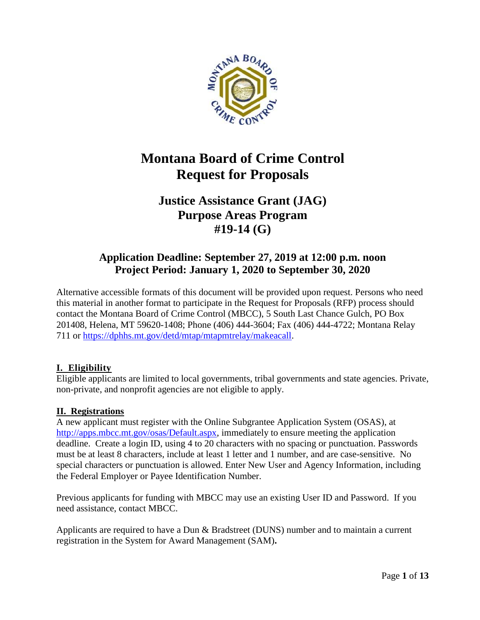

# **Montana Board of Crime Control Request for Proposals**

## **Justice Assistance Grant (JAG) Purpose Areas Program #19-14 (G)**

## **Application Deadline: September 27, 2019 at 12:00 p.m. noon Project Period: January 1, 2020 to September 30, 2020**

Alternative accessible formats of this document will be provided upon request. Persons who need this material in another format to participate in the Request for Proposals (RFP) process should contact the Montana Board of Crime Control (MBCC), 5 South Last Chance Gulch, PO Box 201408, Helena, MT 59620-1408; Phone (406) 444-3604; Fax (406) 444-4722; Montana Relay 711 or [https://dphhs.mt.gov/detd/mtap/mtapmtrelay/makeacall.](https://dphhs.mt.gov/detd/mtap/mtapmtrelay/makeacall)

## **I. Eligibility**

Eligible applicants are limited to local governments, tribal governments and state agencies. Private, non-private, and nonprofit agencies are not eligible to apply.

## **II. Registrations**

A new applicant must register with the Online Subgrantee Application System (OSAS), at [http://apps.mbcc.mt.gov/osas/Default.aspx,](http://apps.mbcc.mt.gov/osas/Default.aspx) immediately to ensure meeting the application deadline. Create a login ID, using 4 to 20 characters with no spacing or punctuation. Passwords must be at least 8 characters, include at least 1 letter and 1 number, and are case-sensitive. No special characters or punctuation is allowed. Enter New User and Agency Information, including the Federal Employer or Payee Identification Number.

Previous applicants for funding with MBCC may use an existing User ID and Password. If you need assistance, contact MBCC.

Applicants are required to have a Dun & Bradstreet (DUNS) number and to maintain a current registration in the System for Award Management (SAM)**.**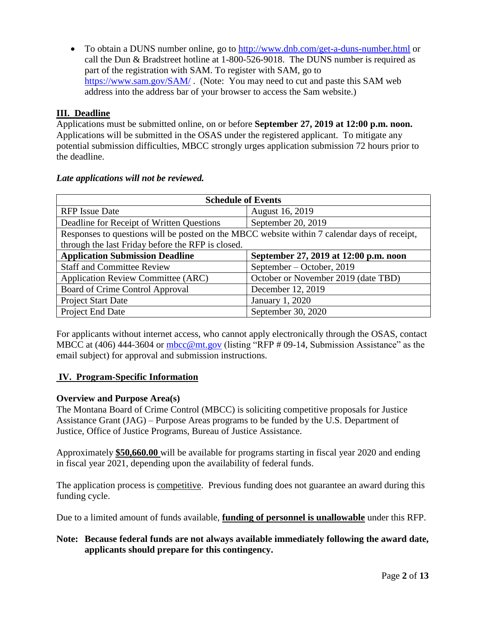• To obtain a DUNS number online, go to<http://www.dnb.com/get-a-duns-number.html> or call the Dun & Bradstreet hotline at 1-800-526-9018. The DUNS number is required as part of the registration with SAM. To register with SAM, go to <https://www.sam.gov/SAM/>. (Note: You may need to cut and paste this SAM web address into the address bar of your browser to access the Sam website.)

## **III. Deadline**

Applications must be submitted online, on or before **September 27, 2019 at 12:00 p.m. noon.**  Applications will be submitted in the OSAS under the registered applicant. To mitigate any potential submission difficulties, MBCC strongly urges application submission 72 hours prior to the deadline.

| <b>Schedule of Events</b>                                                                    |                                       |  |  |
|----------------------------------------------------------------------------------------------|---------------------------------------|--|--|
| <b>RFP</b> Issue Date                                                                        | August 16, 2019                       |  |  |
| Deadline for Receipt of Written Questions                                                    | September 20, 2019                    |  |  |
| Responses to questions will be posted on the MBCC website within 7 calendar days of receipt, |                                       |  |  |
| through the last Friday before the RFP is closed.                                            |                                       |  |  |
| <b>Application Submission Deadline</b>                                                       | September 27, 2019 at 12:00 p.m. noon |  |  |
| <b>Staff and Committee Review</b>                                                            | September – October, 2019             |  |  |
| <b>Application Review Committee (ARC)</b>                                                    | October or November 2019 (date TBD)   |  |  |
| Board of Crime Control Approval                                                              | December 12, 2019                     |  |  |
| Project Start Date                                                                           | January 1, 2020                       |  |  |
| Project End Date                                                                             | September 30, 2020                    |  |  |

#### *Late applications will not be reviewed.*

For applicants without internet access, who cannot apply electronically through the OSAS, contact MBCC at (406) 444-3604 or [mbcc@mt.gov](mailto:mbcc@mt.gov) (listing "RFP # 09-14, Submission Assistance" as the email subject) for approval and submission instructions.

## **IV. Program-Specific Information**

## **Overview and Purpose Area(s)**

The Montana Board of Crime Control (MBCC) is soliciting competitive proposals for Justice Assistance Grant (JAG) – Purpose Areas programs to be funded by the U.S. Department of Justice, Office of Justice Programs, Bureau of Justice Assistance.

Approximately **\$50,660.00** will be available for programs starting in fiscal year 2020 and ending in fiscal year 2021, depending upon the availability of federal funds.

The application process is competitive. Previous funding does not guarantee an award during this funding cycle.

Due to a limited amount of funds available, **funding of personnel is unallowable** under this RFP.

## **Note: Because federal funds are not always available immediately following the award date, applicants should prepare for this contingency.**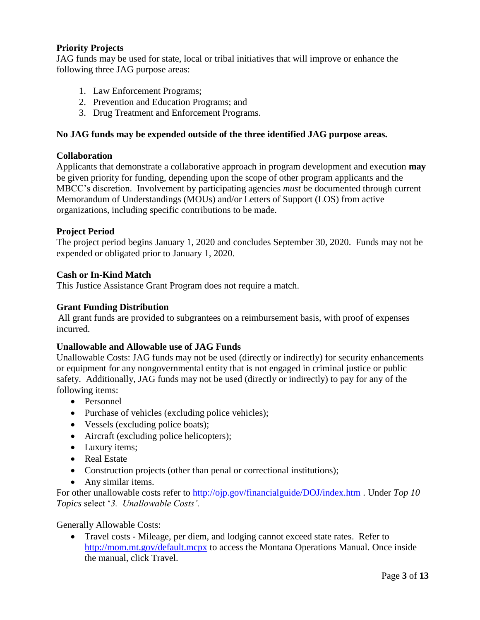## **Priority Projects**

JAG funds may be used for state, local or tribal initiatives that will improve or enhance the following three JAG purpose areas:

- 1. Law Enforcement Programs;
- 2. Prevention and Education Programs; and
- 3. Drug Treatment and Enforcement Programs.

## **No JAG funds may be expended outside of the three identified JAG purpose areas.**

## **Collaboration**

Applicants that demonstrate a collaborative approach in program development and execution **may** be given priority for funding, depending upon the scope of other program applicants and the MBCC's discretion. Involvement by participating agencies *must* be documented through current Memorandum of Understandings (MOUs) and/or Letters of Support (LOS) from active organizations, including specific contributions to be made.

## **Project Period**

The project period begins January 1, 2020 and concludes September 30, 2020. Funds may not be expended or obligated prior to January 1, 2020.

#### **Cash or In-Kind Match**

This Justice Assistance Grant Program does not require a match.

## **Grant Funding Distribution**

All grant funds are provided to subgrantees on a reimbursement basis, with proof of expenses incurred.

## **Unallowable and Allowable use of JAG Funds**

Unallowable Costs: JAG funds may not be used (directly or indirectly) for security enhancements or equipment for any nongovernmental entity that is not engaged in criminal justice or public safety. Additionally, JAG funds may not be used (directly or indirectly) to pay for any of the following items:

- Personnel
- Purchase of vehicles (excluding police vehicles);
- Vessels (excluding police boats);
- Aircraft (excluding police helicopters);
- Luxury items;
- Real Estate
- Construction projects (other than penal or correctional institutions);
- Any similar items.

For other unallowable costs refer to<http://ojp.gov/financialguide/DOJ/index.htm> . Under *Top 10 Topics* select '*3. Unallowable Costs'.*

Generally Allowable Costs:

• Travel costs - Mileage, per diem, and lodging cannot exceed state rates. Refer to <http://mom.mt.gov/default.mcpx> to access the Montana Operations Manual. Once inside the manual, click Travel.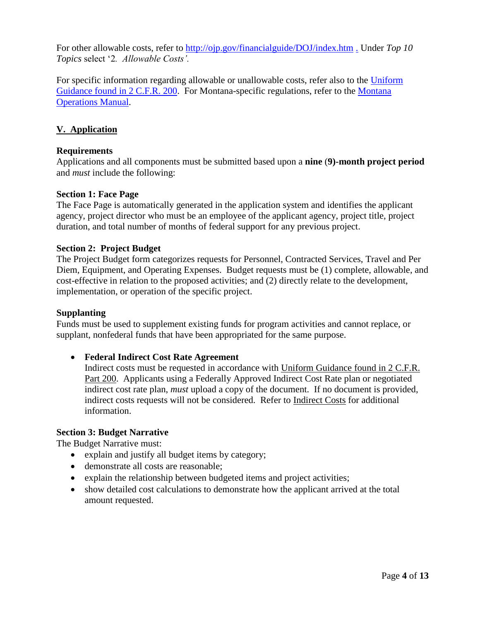For other allowable costs, refer to<http://ojp.gov/financialguide/DOJ/index.htm> . Under *Top 10 Topics* select '2*. Allowable Costs'.*

For specific information regarding allowable or unallowable costs, refer also to the [Uniform](https://www.ecfr.gov/cgi-bin/retrieveECFR?gp=&SID=870db2718d81511f58f280c0fdc0957d&n=pt2.1.200&r=PART&ty=HTML#sp2.1.200.e)  [Guidance found in 2 C.F.R. 200.](https://www.ecfr.gov/cgi-bin/retrieveECFR?gp=&SID=870db2718d81511f58f280c0fdc0957d&n=pt2.1.200&r=PART&ty=HTML#sp2.1.200.e) For Montana-specific regulations, refer to the [Montana](http://mom.mt.gov/default.mcpx)  [Operations Manual.](http://mom.mt.gov/default.mcpx)

## **V. Application**

## **Requirements**

Applications and all components must be submitted based upon a **nine** (**9)-month project period** and *must* include the following:

#### **Section 1: Face Page**

The Face Page is automatically generated in the application system and identifies the applicant agency, project director who must be an employee of the applicant agency, project title, project duration, and total number of months of federal support for any previous project.

#### **Section 2: Project Budget**

The Project Budget form categorizes requests for Personnel, Contracted Services, Travel and Per Diem, Equipment, and Operating Expenses. Budget requests must be (1) complete, allowable, and cost-effective in relation to the proposed activities; and (2) directly relate to the development, implementation, or operation of the specific project.

#### **Supplanting**

Funds must be used to supplement existing funds for program activities and cannot replace, or supplant, nonfederal funds that have been appropriated for the same purpose.

## • **Federal Indirect Cost Rate Agreement**

Indirect costs must be requested in accordance with [Uniform Guidance found in 2 C.F.R.](https://www.ecfr.gov/cgi-bin/retrieveECFR?gp=&SID=37ae60df1287ff17af758ce4b07abced&mc=true&n=pt2.1.200&r=PART&ty=HTML#se2.1.200_157)  [Part 200.](https://www.ecfr.gov/cgi-bin/retrieveECFR?gp=&SID=37ae60df1287ff17af758ce4b07abced&mc=true&n=pt2.1.200&r=PART&ty=HTML#se2.1.200_157) Applicants using a Federally Approved Indirect Cost Rate plan or negotiated indirect cost rate plan, *must* upload a copy of the document. If no document is provided, indirect costs requests will not be considered. Refer to [Indirect Costs](http://mbcc.mt.gov/Portals/130/Funding/Forms/Financial/Indirect%20Costs.pdf?ver=2018-12-04-084240-297) for additional information.

#### **Section 3: Budget Narrative**

The Budget Narrative must:

- explain and justify all budget items by category;
- demonstrate all costs are reasonable;
- explain the relationship between budgeted items and project activities;
- show detailed cost calculations to demonstrate how the applicant arrived at the total amount requested.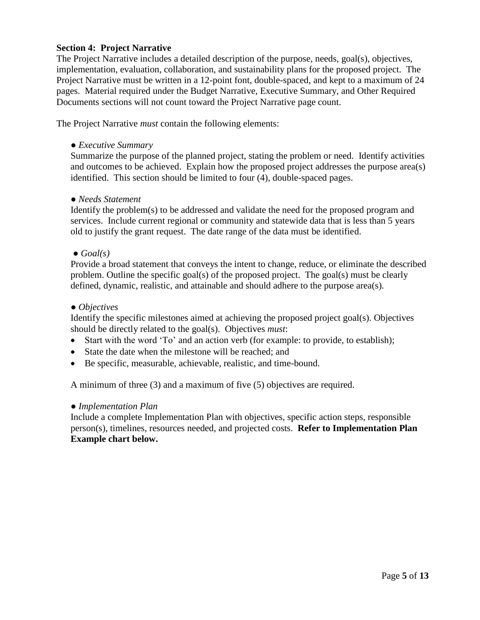## **Section 4: Project Narrative**

The Project Narrative includes a detailed description of the purpose, needs, goal(s), objectives, implementation, evaluation, collaboration, and sustainability plans for the proposed project. The Project Narrative must be written in a 12-point font, double-spaced, and kept to a maximum of 24 pages. Material required under the Budget Narrative, Executive Summary, and Other Required Documents sections will not count toward the Project Narrative page count.

The Project Narrative *must* contain the following elements:

*● Executive Summary*

Summarize the purpose of the planned project, stating the problem or need. Identify activities and outcomes to be achieved. Explain how the proposed project addresses the purpose area(s) identified. This section should be limited to four (4), double-spaced pages.

#### *● Needs Statement*

Identify the problem(s) to be addressed and validate the need for the proposed program and services. Include current regional or community and statewide data that is less than 5 years old to justify the grant request. The date range of the data must be identified.

#### *● Goal(s)*

Provide a broad statement that conveys the intent to change, reduce, or eliminate the described problem. Outline the specific goal(s) of the proposed project. The goal(s) must be clearly defined, dynamic, realistic, and attainable and should adhere to the purpose area(s).

#### *● Objectives*

Identify the specific milestones aimed at achieving the proposed project goal(s). Objectives should be directly related to the goal(s). Objectives *must*:

- Start with the word 'To' and an action verb (for example: to provide, to establish);
- State the date when the milestone will be reached; and
- Be specific, measurable, achievable, realistic, and time-bound.

A minimum of three (3) and a maximum of five (5) objectives are required.

#### *● Implementation Plan*

Include a complete Implementation Plan with objectives, specific action steps, responsible person(s), timelines, resources needed, and projected costs. **Refer to Implementation Plan Example chart below.**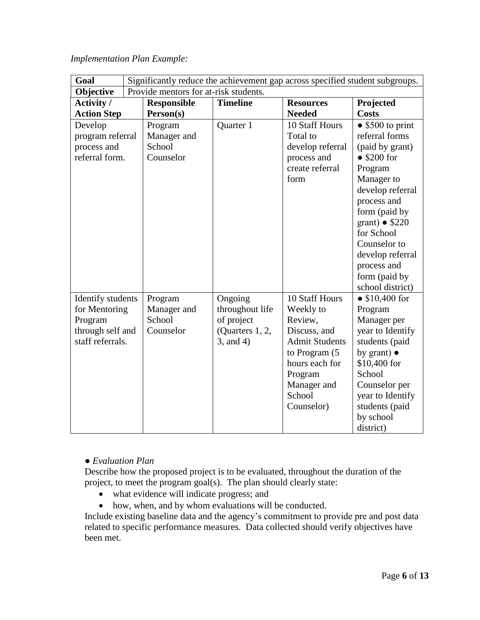| Goal                                                                                  |                                                                                                                       |                                               |                                                                                |                                                                                                                                                                      |                                                                                                                                                                                                                                                                                                   |
|---------------------------------------------------------------------------------------|-----------------------------------------------------------------------------------------------------------------------|-----------------------------------------------|--------------------------------------------------------------------------------|----------------------------------------------------------------------------------------------------------------------------------------------------------------------|---------------------------------------------------------------------------------------------------------------------------------------------------------------------------------------------------------------------------------------------------------------------------------------------------|
| Objective                                                                             | Significantly reduce the achievement gap across specified student subgroups.<br>Provide mentors for at-risk students. |                                               |                                                                                |                                                                                                                                                                      |                                                                                                                                                                                                                                                                                                   |
| <b>Activity</b> /<br><b>Action Step</b>                                               |                                                                                                                       | <b>Responsible</b><br>Person(s)               | <b>Timeline</b>                                                                | <b>Resources</b><br><b>Needed</b>                                                                                                                                    | Projected<br><b>Costs</b>                                                                                                                                                                                                                                                                         |
| Develop<br>program referral<br>process and<br>referral form.                          |                                                                                                                       | Program<br>Manager and<br>School<br>Counselor | Quarter 1                                                                      | 10 Staff Hours<br>Total to<br>develop referral<br>process and<br>create referral<br>form                                                                             | $\bullet$ \$500 to print<br>referral forms<br>(paid by grant)<br>$\bullet$ \$200 for<br>Program<br>Manager to<br>develop referral<br>process and<br>form (paid by<br>grant) $\bullet$ \$220<br>for School<br>Counselor to<br>develop referral<br>process and<br>form (paid by<br>school district) |
| Identify students<br>for Mentoring<br>Program<br>through self and<br>staff referrals. |                                                                                                                       | Program<br>Manager and<br>School<br>Counselor | Ongoing<br>throughout life<br>of project<br>(Quarters 1, 2,<br>$3$ , and $4$ ) | 10 Staff Hours<br>Weekly to<br>Review,<br>Discuss, and<br><b>Admit Students</b><br>to Program (5<br>hours each for<br>Program<br>Manager and<br>School<br>Counselor) | • $$10,400$ for<br>Program<br>Manager per<br>year to Identify<br>students (paid<br>by grant) $\bullet$<br>\$10,400 for<br>School<br>Counselor per<br>year to Identify<br>students (paid<br>by school<br>district)                                                                                 |

## *Implementation Plan Example:*

## *● Evaluation Plan*

Describe how the proposed project is to be evaluated, throughout the duration of the project, to meet the program goal(s). The plan should clearly state:

- what evidence will indicate progress; and
- how, when, and by whom evaluations will be conducted.

Include existing baseline data and the agency's commitment to provide pre and post data related to specific performance measures. Data collected should verify objectives have been met.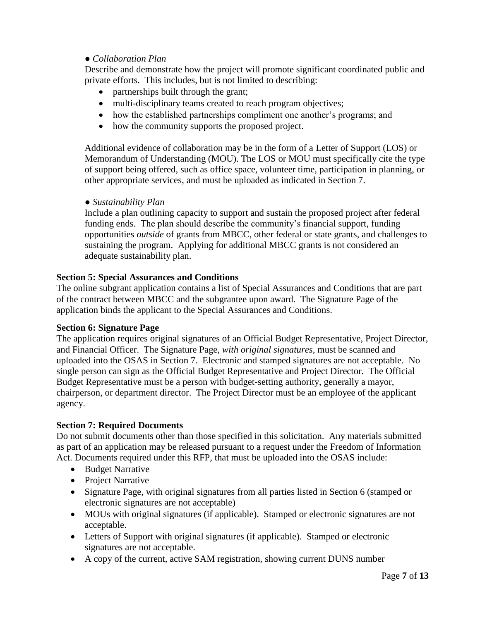## *● Collaboration Plan*

Describe and demonstrate how the project will promote significant coordinated public and private efforts. This includes, but is not limited to describing:

- partnerships built through the grant;
- multi-disciplinary teams created to reach program objectives;
- how the established partnerships compliment one another's programs; and
- how the community supports the proposed project.

Additional evidence of collaboration may be in the form of a Letter of Support (LOS) or Memorandum of Understanding (MOU). The LOS or MOU must specifically cite the type of support being offered, such as office space, volunteer time, participation in planning, or other appropriate services, and must be uploaded as indicated in Section 7.

#### *● Sustainability Plan*

Include a plan outlining capacity to support and sustain the proposed project after federal funding ends. The plan should describe the community's financial support, funding opportunities *outside* of grants from MBCC, other federal or state grants, and challenges to sustaining the program. Applying for additional MBCC grants is not considered an adequate sustainability plan.

## **Section 5: Special Assurances and Conditions**

The online subgrant application contains a list of Special Assurances and Conditions that are part of the contract between MBCC and the subgrantee upon award. The Signature Page of the application binds the applicant to the Special Assurances and Conditions.

## **Section 6: Signature Page**

The application requires original signatures of an Official Budget Representative, Project Director, and Financial Officer. The Signature Page, *with original signatures,* must be scanned and uploaded into the OSAS in Section 7. Electronic and stamped signatures are not acceptable. No single person can sign as the Official Budget Representative and Project Director. The Official Budget Representative must be a person with budget-setting authority, generally a mayor, chairperson, or department director. The Project Director must be an employee of the applicant agency.

## **Section 7: Required Documents**

Do not submit documents other than those specified in this solicitation. Any materials submitted as part of an application may be released pursuant to a request under the Freedom of Information Act. Documents required under this RFP, that must be uploaded into the OSAS include:

- Budget Narrative
- Project Narrative
- Signature Page, with original signatures from all parties listed in Section 6 (stamped or electronic signatures are not acceptable)
- MOUs with original signatures (if applicable). Stamped or electronic signatures are not acceptable.
- Letters of Support with original signatures (if applicable). Stamped or electronic signatures are not acceptable.
- A copy of the current, active SAM registration, showing current DUNS number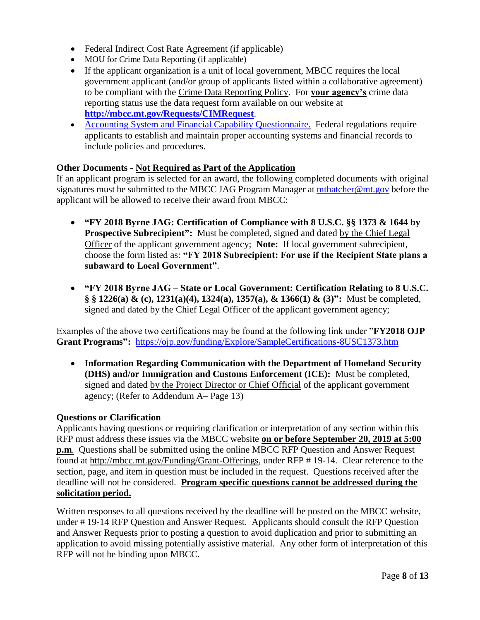- Federal Indirect Cost Rate Agreement (if applicable)
- MOU for Crime Data Reporting (if applicable)
- If the applicant organization is a unit of local government, MBCC requires the local government applicant (and/or group of applicants listed within a collaborative agreement) to be compliant with the [Crime Data Reporting Policy.](http://mbcc.mt.gov/Portals/130/Data/B-03CrimeDataReportPolicy2015.pdf) For **your agency's** crime data reporting status use the data request form available on our website at **<http://mbcc.mt.gov/Requests/CIMRequest>**.
- [Accounting System and Financial Capability Questionnaire.](http://mbcc.mt.gov/Portals/130/Funding/Forms/Financial/FinCapability.PDF) Federal regulations require applicants to establish and maintain proper accounting systems and financial records to include policies and procedures.

## **Other Documents - Not Required as Part of the Application**

If an applicant program is selected for an award, the following completed documents with original signatures must be submitted to the MBCC JAG Program Manager at [mthatcher@mt.gov](mailto:mthatcher@mt.gov) before the applicant will be allowed to receive their award from MBCC:

- **"FY 2018 Byrne JAG: Certification of Compliance with 8 U.S.C. §§ 1373 & 1644 by Prospective Subrecipient":** Must be completed, signed and dated by the Chief Legal Officer of the applicant government agency; **Note:** If local government subrecipient, choose the form listed as: **"FY 2018 Subrecipient: For use if the Recipient State plans a subaward to Local Government"**.
- **"FY 2018 Byrne JAG – State or Local Government: Certification Relating to 8 U.S.C. § § 1226(a) & (c), 1231(a)(4), 1324(a), 1357(a), & 1366(1) & (3)":** Must be completed, signed and dated by the Chief Legal Officer of the applicant government agency;

Examples of the above two certifications may be found at the following link under "**FY2018 OJP Grant Programs":** <https://ojp.gov/funding/Explore/SampleCertifications-8USC1373.htm>

• **Information Regarding Communication with the Department of Homeland Security (DHS) and/or Immigration and Customs Enforcement (ICE):** Must be completed, signed and dated by the Project Director or Chief Official of the applicant government agency; (Refer to Addendum A– Page 13)

## **Questions or Clarification**

Applicants having questions or requiring clarification or interpretation of any section within this RFP must address these issues via the MBCC website **on or before September 20, 2019 at 5:00 p.m**. Questions shall be submitted using the online MBCC RFP Question and Answer Request found at [http://mbcc.mt.gov/Funding/Grant-Offerings,](http://mbcc.mt.gov/Funding/Grant-Offerings) under RFP # 19-14. Clear reference to the section, page, and item in question must be included in the request. Questions received after the deadline will not be considered. **Program specific questions cannot be addressed during the solicitation period.**

Written responses to all questions received by the deadline will be posted on the MBCC website, under # 19-14 RFP Question and Answer Request. Applicants should consult the RFP Question and Answer Requests prior to posting a question to avoid duplication and prior to submitting an application to avoid missing potentially assistive material. Any other form of interpretation of this RFP will not be binding upon MBCC.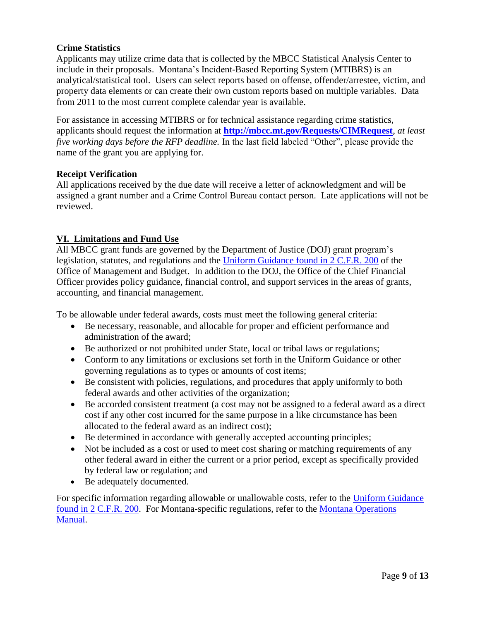## **Crime Statistics**

Applicants may utilize crime data that is collected by the MBCC Statistical Analysis Center to include in their proposals. Montana's Incident-Based Reporting System (MTIBRS) is an analytical/statistical tool. Users can select reports based on offense, offender/arrestee, victim, and property data elements or can create their own custom reports based on multiple variables. Data from 2011 to the most current complete calendar year is available.

For assistance in accessing MTIBRS or for technical assistance regarding crime statistics, applicants should request the information at **<http://mbcc.mt.gov/Requests/CIMRequest>**, *at least five working days before the RFP deadline.* In the last field labeled "Other", please provide the name of the grant you are applying for.

## **Receipt Verification**

All applications received by the due date will receive a letter of acknowledgment and will be assigned a grant number and a Crime Control Bureau contact person. Late applications will not be reviewed.

## **VI. Limitations and Fund Use**

All MBCC grant funds are governed by the Department of Justice (DOJ) grant program's legislation, statutes, and regulations and the [Uniform Guidance found in 2 C.F.R. 200](https://www.ecfr.gov/cgi-bin/retrieveECFR?gp=&SID=870db2718d81511f58f280c0fdc0957d&n=pt2.1.200&r=PART&ty=HTML#sp2.1.200.e) of the Office of Management and Budget. In addition to the DOJ, the Office of the Chief Financial Officer provides policy guidance, financial control, and support services in the areas of grants, accounting, and financial management.

To be allowable under federal awards, costs must meet the following general criteria:

- Be necessary, reasonable, and allocable for proper and efficient performance and administration of the award;
- Be authorized or not prohibited under State, local or tribal laws or regulations;
- Conform to any limitations or exclusions set forth in the Uniform Guidance or other governing regulations as to types or amounts of cost items;
- Be consistent with policies, regulations, and procedures that apply uniformly to both federal awards and other activities of the organization;
- Be accorded consistent treatment (a cost may not be assigned to a federal award as a direct cost if any other cost incurred for the same purpose in a like circumstance has been allocated to the federal award as an indirect cost);
- Be determined in accordance with generally accepted accounting principles;
- Not be included as a cost or used to meet cost sharing or matching requirements of any other federal award in either the current or a prior period, except as specifically provided by federal law or regulation; and
- Be adequately documented.

For specific information regarding allowable or unallowable costs, refer to the [Uniform Guidance](https://www.ecfr.gov/cgi-bin/retrieveECFR?gp=&SID=870db2718d81511f58f280c0fdc0957d&n=pt2.1.200&r=PART&ty=HTML#sp2.1.200.e)  [found in 2 C.F.R. 200.](https://www.ecfr.gov/cgi-bin/retrieveECFR?gp=&SID=870db2718d81511f58f280c0fdc0957d&n=pt2.1.200&r=PART&ty=HTML#sp2.1.200.e) For Montana-specific regulations, refer to the [Montana Operations](http://mom.mt.gov/default.mcpx)  [Manual.](http://mom.mt.gov/default.mcpx)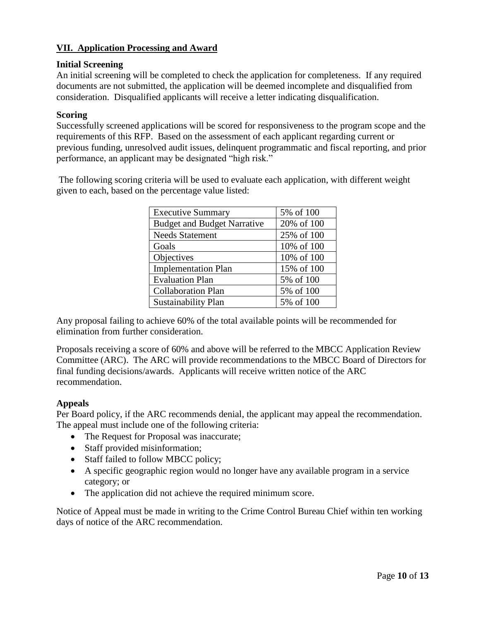## **VII. Application Processing and Award**

## **Initial Screening**

An initial screening will be completed to check the application for completeness. If any required documents are not submitted, the application will be deemed incomplete and disqualified from consideration. Disqualified applicants will receive a letter indicating disqualification.

## **Scoring**

Successfully screened applications will be scored for responsiveness to the program scope and the requirements of this RFP. Based on the assessment of each applicant regarding current or previous funding, unresolved audit issues, delinquent programmatic and fiscal reporting, and prior performance, an applicant may be designated "high risk."

The following scoring criteria will be used to evaluate each application, with different weight given to each, based on the percentage value listed:

| <b>Executive Summary</b>           | 5% of 100  |
|------------------------------------|------------|
| <b>Budget and Budget Narrative</b> | 20% of 100 |
| <b>Needs Statement</b>             | 25% of 100 |
| Goals                              | 10% of 100 |
| Objectives                         | 10% of 100 |
| <b>Implementation Plan</b>         | 15% of 100 |
| <b>Evaluation Plan</b>             | 5% of 100  |
| <b>Collaboration Plan</b>          | 5% of 100  |
| <b>Sustainability Plan</b>         | 5% of 100  |

Any proposal failing to achieve 60% of the total available points will be recommended for elimination from further consideration.

Proposals receiving a score of 60% and above will be referred to the MBCC Application Review Committee (ARC). The ARC will provide recommendations to the MBCC Board of Directors for final funding decisions/awards. Applicants will receive written notice of the ARC recommendation.

## **Appeals**

Per Board policy, if the ARC recommends denial, the applicant may appeal the recommendation. The appeal must include one of the following criteria:

- The Request for Proposal was inaccurate;
- Staff provided misinformation;
- Staff failed to follow MBCC policy;
- A specific geographic region would no longer have any available program in a service category; or
- The application did not achieve the required minimum score.

Notice of Appeal must be made in writing to the Crime Control Bureau Chief within ten working days of notice of the ARC recommendation.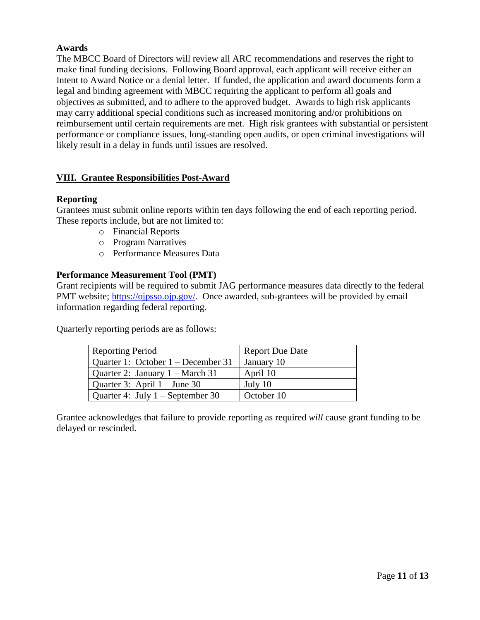## **Awards**

The MBCC Board of Directors will review all ARC recommendations and reserves the right to make final funding decisions. Following Board approval, each applicant will receive either an Intent to Award Notice or a denial letter. If funded, the application and award documents form a legal and binding agreement with MBCC requiring the applicant to perform all goals and objectives as submitted, and to adhere to the approved budget. Awards to high risk applicants may carry additional special conditions such as increased monitoring and/or prohibitions on reimbursement until certain requirements are met. High risk grantees with substantial or persistent performance or compliance issues, long-standing open audits, or open criminal investigations will likely result in a delay in funds until issues are resolved.

## **VIII. Grantee Responsibilities Post-Award**

## **Reporting**

Grantees must submit online reports within ten days following the end of each reporting period. These reports include, but are not limited to:

- o Financial Reports
- o Program Narratives
- o Performance Measures Data

## **Performance Measurement Tool (PMT)**

Grant recipients will be required to submit JAG performance measures data directly to the federal PMT website; [https://ojpsso.ojp.gov/.](https://ojpsso.ojp.gov/) Once awarded, sub-grantees will be provided by email information regarding federal reporting.

Quarterly reporting periods are as follows:

| <b>Reporting Period</b>              | <b>Report Due Date</b> |
|--------------------------------------|------------------------|
| Quarter 1: October $1 -$ December 31 | January 10             |
| Quarter 2: January 1 – March 31      | April 10               |
| Quarter 3: April $1 -$ June 30       | July 10                |
| Quarter 4: July $1 -$ September 30   | October 10             |

Grantee acknowledges that failure to provide reporting as required *will* cause grant funding to be delayed or rescinded.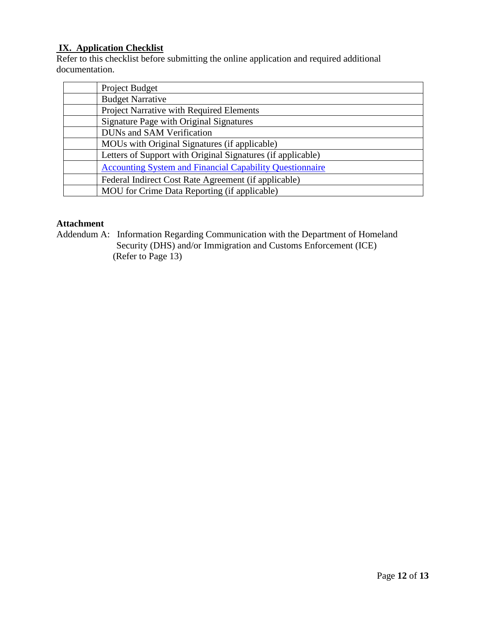## **IX. Application Checklist**

Refer to this checklist before submitting the online application and required additional documentation.

| Project Budget                                                  |
|-----------------------------------------------------------------|
| <b>Budget Narrative</b>                                         |
| Project Narrative with Required Elements                        |
| Signature Page with Original Signatures                         |
| <b>DUNs and SAM Verification</b>                                |
| MOUs with Original Signatures (if applicable)                   |
| Letters of Support with Original Signatures (if applicable)     |
| <b>Accounting System and Financial Capability Questionnaire</b> |
| Federal Indirect Cost Rate Agreement (if applicable)            |
| MOU for Crime Data Reporting (if applicable)                    |

## **Attachment**

Addendum A: Information Regarding Communication with the Department of Homeland Security (DHS) and/or Immigration and Customs Enforcement (ICE) (Refer to Page 13)